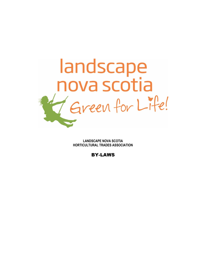

**LANDSCAPE NOVA SCOTIA HORTICULTURAL TRADES ASSOCIATION**

BY-LAWS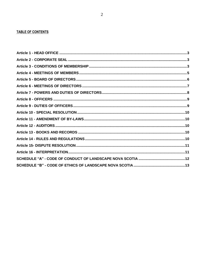# **TABLE OF CONTENTS**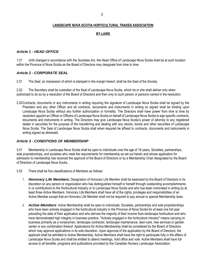#### 3

#### **LANDSCAPE NOVA SCOTIA HORTICULTURAL TRADES ASSOCIATION**

#### **BY-LAWS**

#### <span id="page-2-0"></span>*Article 1 - HEAD OFFICE*

1.01 Until changed in accordance with the Societies Act, the Head Office of Landscape Nova Scotia shall be at such location within the Province of Nova Scotia as the Board of Directors may designate from time to time.

### <span id="page-2-1"></span>*Article 2 - CORPORATE SEAL*

2.01 The Seal, an impression of which is stamped in the margin hereof, shall be the Seal of the Society.

2.02 The Secretary shall be custodian of the Seal of Landscape Nova Scotia, which he or she shall deliver only when authorized to do so by a resolution of the Board of Directors and then only to such person or persons named in the resolution.

2.03Contracts, documents or any instruments in writing requiring the signature of Landscape Nova Scotia shall be signed by the President and any other Officer and all contracts, documents and instruments in writing so signed shall be binding upon Landscape Nova Scotia without any further authorization or formality. The Directors shall have power from time to time by resolution appoint an Officer or Officers of Landscape Nova Scotia on behalf of Landscape Nova Scotia to sign specific contracts, documents and instruments in writing. The Directors may give Landscape Nova Scotia's power of attorney to any registered dealer in securities for the purpose of the transferring and dealing with any stocks, bonds and other securities of Landscape Nova Scotia. The Seal of Landscape Nova Scotia shall when required be affixed to contracts, documents and instruments in writing signed as aforesaid.

#### <span id="page-2-2"></span>*Article 3 - CONDITIONS OF MEMBERSHIP*

3.01 Membership in Landscape Nova Scotia shall be open to individuals over the age of 18 years, Societies, partnerships, sole proprietorships, and societies who meet the requirements for membership as set out herein and whose application for admission to membership has received the approval of the Board of Directors or by a Membership Chair designated by the Board of Directors of Landscape Nova Scotia.

- 3.02 There shall be five classifications of Members as follows:
	- 1. *Honorary Life Members*: Designation of Honorary Life Member shall be bestowed by the Board of Directors in its discretion on any person or organization who has distinguished himself or herself through outstanding accomplishments in or contributions to the Horticultural Industry or to Landscape Nova Scotia and who has been nominated in writing by at least three Active Members. Honorary Life Members shall have all of the rights, privileges and responsibilities of an Active Member except that an Honorary Life Member shall not be required to pay annual or special Membership dues.
	- 2. *Active Members*: Active Membership shall be open to individuals, Societies, partnerships and sole proprietorships who have been actively engaged in the horticultural industry in the Province of Nova Scotia for at least one full year preceding the date of their application and who derives the majority of their income from landscape horticulture and who have demonstrated high integrity in business practice. "Actively engaged in the horticulture industry" means carrying on business primarily as a nurseryman, landscape contractor, landscape maintenance, lawn-care, tree services or garden center or any combination thereof. Applications for Active Membership shall be considered by the Board of Directors which may approve applications in its sole discretion. Upon approval of the application by the Board of Directors, the applicant shall be admitted to Active Membership. Active Members shall have the right to participate fully in the affairs of Landscape Nova Scotia and shall be entitled to attend meetings, hold office and vote. Active Members shall have full access to all benefits, programs and publications provided by the Canadian Nursery Landscape Association.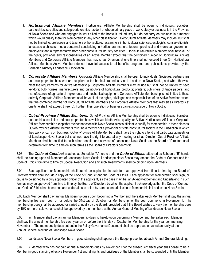- 3. *Horticultural Affiliate Members*: Horticultural Affiliate Membership shall be open to individuals, Societies, partnerships, societies and sole proprietorships resident or whose primary place of work, study or business is in the Province of Nova Scotia and who are engaged in work allied to the horticultural industry but do not carry on business in a manner which would qualify them for Membership in any other classification. Horticultural Affiliate Members may include, but shall not be limited to: professors and teachers of horticulture; researchers in horticultural sciences; ecologists; conservationists; landscape architects; media personnel specializing in horticultural matters; federal, provincial and municipal government employees; and a representative from other horticultural industry societies. Horticultural Affiliate Members shall have all of the rights, privileges and responsibilities of an Active Member except that the combined number of Horticultural Affiliate Members and Corporate Affiliate Members that may sit as Directors at one time shall not exceed three (3). Horticultural Affiliate Members Active Members do not have full access to all benefits, programs and publications provided by the Canadian Nursery Landscape Association.
- 4. *Corporate Affiliate Members*: Corporate Affiliate Membership shall be open to individuals, Societies, partnerships and sole proprietorships who are suppliers to the horticultural industry or to Landscape Nova Scotia, and who otherwise meet the requirements for Active Membership. Corporate Affiliate Members may include but shall not be limited to: seed vendors; bulb houses; manufacturers and distributors of horticultural products; printers; publishers of trade papers; and manufacturers of agricultural implements and mechanical equipment. Corporate Affiliate Membership is not limited to those actively Corporate Affiliate Members shall have all of the rights, privileges and responsibilities of an Active Member except that the combined number of Horticultural Affiliate Members and Corporate Affiliate Members that may sit as Directors at one time shall not exceed three (3). Further, their operation of business can exist outside of Nova Scotia.
- 5. *Out-of-Province Affiliate Members:* Out-of-Province Affiliate Membership shall be open to individuals, Societies, partnerships, societies and sole proprietorships which would otherwise qualify for Active, Horticultural Affiliate or Corporate Affiliate Membership except that their connection with Nova Scotia is not sufficient to qualify for membership in those classes. Out-of-Province Affiliate Members must be a member of a provincial or state horticultural society in the jurisdiction in which they work or carry on business. Out-of-Province Affiliate Members shall have the right to attend and participate at meetings of Landscape Nova Scotia but shall not have the right to vote at any meeting or sit as Director. Out-of-Province Affiliate Members shall be entitled to such other benefits and services of Landscape Nova Scotia as the Board of Directors shall determine from time to time on such terms as the Board of Directors deems fit.

3.03 The *Code of Conduct* attached as Schedule "A" hereto and the *Code of Ethics* attached as Schedule "B" hereto shall be binding upon all Members of Landscape Nova Scotia. Landscape Nova Scotia may amend the Code of Conduct and the Code of Ethics from time to time by Special Resolution and any such amendments shall be binding upon Members.

3.04 Each applicant for Membership shall submit an application in such form as approved from time to time by the Board of Directors which shall include a copy of the Code of Conduct and the Code of Ethics. Each applicant for Membership shall sign, or cause to be signed by a duly appointed officer of the applicant, as the case may be, an Acknowledgement and Undertaking in such form as may be approved from time to time by the Board of Directors by which the applicant acknowledges that the Code of Conduct and Code of Ethics has been read and undertakes to abide by same upon admission to Membership in Landscape Nova Scotia.

3.05 Each Member shall pay annual Membership dues upon becoming a Member and thereafter each Member shall pay the annual membership fee each year on or before the 31st day of October for Membership for the year commencing November 1. The membership dues shall be approved or varied annually by the Board, provided that if the Board wishes to vary the membership dues by 10% or more, said variance shall be approved by the members at the Annual General Meeting of Landscape Nova Scotia.

3.05 ach Member shall pay an annual Membership dues to hereto upon becoming a Member and thereafter each Member shall pay the annual membership fee each year on or before the 31st day of October for Membership for the year commencing November 1. The membership dues set out in the Policy Governance Document shall be approved or varied annually at the Annual General Meeting of Landscape Nova Scotia.

3.06 Landscape Nova Scotia Members in good standing shall approve the Budget presented at each Annual General Meeting.

3.07 A Member who has not paid annual Membership dues by November 1 for the subsequent fiscal year shall cease to be a Member in good standing effective November 1st and all rights and privileges of the Member shall be suspended until the Member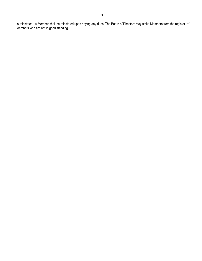is reinstated. A Member shall be reinstated upon paying any dues. The Board of Directors may strike Members from the register of Members who are not in good standing.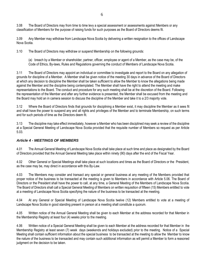3.08 The Board of Directors may from time to time levy a special assessment or assessments against Members or any classification of Members for the purpose of raising funds for such purposes as the Board of Directors deems fit.

3.09 Any Member may withdraw from Landscape Nova Scotia by delivering a written resignation to the offices of Landscape Nova Scotia.

3.10 The Board of Directors may withdraw or suspend Membership on the following grounds:

(a) breach by a Member or shareholder, partner, officer, employee or agent of a Member, as the case may be, of the Code of Ethics, By-laws, Rules and Regulations governing the conduct of Members of Landscape Nova Scotia.

3.11 The Board of Directors may appoint an individual or committee to investigate and report to the Board on any allegation of grounds for discipline of a Member. A Member shall be given notice of the meeting 30 days in advance of the Board of Directors at which any decision to discipline the Member shall be taken sufficient to allow the Member to know the allegations being made against the Member and the discipline being contemplated. The Member shall have the right to attend the meeting and make representations to the Board. The conduct and procedure for any such meeting shall be at the discretion of the Board. Following the representation of the Member and after any further evidence is presented, the Member shall be excused from the meeting and the Board may hold an in camera session to discuss the discipline of the Member and take it to a 2/3 majority vote.

3.12 Where the Board of Directors finds that grounds for disciplining a Member exist, it may discipline the Member as it sees fit and shall have the power to suspend any and all rights and privileges of the Member and to terminate Membership, on such terms and for such periods of time as the Directors deem fit.

3.13 The discipline may take effect immediately, however a Member who has been disciplined may seek a review of the discipline at a Special General Meeting of Landscape Nova Scotia provided that the requisite number of Members so request as per Article 5.03.

## <span id="page-5-0"></span>*Article 4 - MEETINGS OF MEMBERS*

4.01 The Annual General Meeting of Landscape Nova Scotia shall take place at such time and place as designated by the Board of Directors provided that the Annual General Meeting take place within ninety (90) days after the end of the Fiscal Year.

4.02 Other General or Special Meetings shall take place at such locations and times as the Board of Directors or the President, as the case may be, may direct in accordance with this By-Law.

4.03 The Members may consider and transact any special or general business at any meeting of the Members provided that proper notice of the business to be transacted at the meeting is given to Members in accordance with Article 5.06. The Board of Directors or the President shall have the power to call, at any time, a General Meeting of the Members of Landscape Nova Scotia. The Board of Directors shall call a Special General Meeting of Members on written requisition of fifteen (15) Members entitled to vote at a meeting of Landscape Nova Scotia specifying the nature of the business to be transacted at the meeting.

4.04 At any General or Special Meeting of Landscape Nova Scotia twelve (12) Members entitled to vote at a meeting of Landscape Nova Scotia in good standing present in person at a meeting shall constitute a quorum.

4.05 Written notice of the Annual General Meeting shall be given to each Member at the address recorded for that Member in the Membership Registry at least four (4) weeks prior to the meeting.

4.06 Written notice of a Special General Meeting shall be given to each Member at the address recorded for that Member in the Membership Registry at least seven (7) week days (weekends and holidays excluded) prior to the meeting. Notice of a Special Meeting shall contain sufficient information about the special business to be transacted at the meeting to allow the Member to know the nature of the business to be transacted and may contain such additional information as will permit a Member to form a reasoned judgment on the decision to be taken.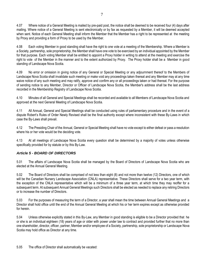4.07 Where notice of a General Meeting is mailed by pre-paid post, the notice shall be deemed to be received four (4) days after mailing. Where notice of a General Meeting is sent electronically or by fax as requested by a Member, it will be deemed accepted when sent. Notice of each General Meeting shall inform the Member that the Member has a right to be represented at the meeting by Proxy and providing a form of Proxy to be used by the Member.

4.08 Each voting Member in good standing shall have the right to one vote at a meeting of the Membership. Where a Member is a Society, partnership, sole proprietorship, the Member shall have one vote to be exercised by an individual appointed by the Member for that purpose. Each voting Member shall be entitled to appoint a Proxy holder in writing to attend at the meeting and exercise the right to vote of the Member in the manner and to the extent authorized by Proxy. The Proxy holder shall be a Member in good standing of Landscape Nova Scotia.

4.09 No error or omission in giving notice of any General or Special Meeting or any adjournment thereof to the Members of Landscape Nova Scotia shall invalidate such meeting or make void any proceedings taken thereat and any Member may at any time waive notice of any such meeting and may ratify, approve and confirm any or all proceedings taken or had thereat. For the purpose of sending notice to any Member, Director or Officer of Landscape Nova Scotia, the Member's address shall be the last address recorded in the Membership Registry of Landscape Nova Scotia.

4.10 Minutes of all General and Special Meetings shall be recorded and available to all Members of Landscape Nova Scotia and approved at the next General Meeting of Landscape Nova Scotia.

4.11 All Annual, General and Special Meetings shall be conducted using rules of parliamentary procedure and in the event of a dispute Robert's Rules of Order Newly Revised shall be the final authority except where inconsistent with these By-Laws in which case the By-Laws shall prevail.

4.12 The Presiding Chair of the Annual, General or Special Meeting shall have no vote except to either defeat or pass a resolution where his or her vote would be the deciding vote.

4.13 At all meetings of Landscape Nova Scotia every question shall be determined by a majority of votes unless otherwise specifically provided for by statute or by this By-Law.

## <span id="page-6-0"></span>*Article 5 - BOARD OF DIRECTORS*

5.01 The affairs of Landscape Nova Scotia shall be managed by the Board of Directors of Landscape Nova Scotia who are elected at the Annual General Meeting.

5.02 The Board of Directors shall be comprised of not less than eight (8) and not more than twelve (12) Directors, one of which will be the Canadian Nursery Landscape Association (CNLA) representative. These Directors shall serve for a two year term, with the exception of the CNLA representative which will be a minimum of a three year term, at which time they may reoffer for a subsequent term. At subsequent Annual General Meetings such Directors shall be elected as needed to replace any retiring Directors or to increase the number of Directors.

5.03 For the purposes of measuring the term of a Director, a year shall mean the time between Annual General Meetings and a Director shall hold office until the end of the Annual General Meeting at which his or her term expires except as otherwise provided for herein.

5.04 Unless otherwise explicitly stated in this By-Law, any Member in good standing is eligible to be a Director provided that he or she is an individual eighteen (18) years of age or older with power under law to contract and provided further that no more than one shareholder, director, officer, partner, Member and/or employee of a Society, partnership, sole proprietorship or Landscape Nova Scotia may hold office as Director at any time.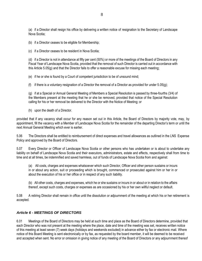(a) if a Director shall resign his office by delivering a written notice of resignation to the Secretary of Landscape Nova Scotia;

(b) if a Director ceases to be eligible for Membership;

(c) if a Director ceases to be resident in Nova Scotia;

(d) if a Director is not in attendance at fifty per cent (50%) or more of the meetings of the Board of Directors in any Fiscal Year of Landscape Nova Scotia, provided that the removal of such Director is carried out in accordance with this Article 5.05(g) and that the Director fails to offer a reasonable excuse for missing each meeting;

(e) if he or she is found by a Court of competent jurisdiction to be of unsound mind;

(f) if there is a voluntary resignation of a Director the removal of a Director as provided for under  $5.05(q)$ ;

(g) if at a Special or Annual General Meeting of Members a Special Resolution is passed by three-fourths (3/4) of the Members present at the meeting that he or she be removed, provided that notice of the Special Resolution calling for his or her removal be delivered to the Director with the Notice of Meeting; or

(h) upon the death of a Director.

provided that if any vacancy shall occur for any reason set out in this Article, the Board of Directors by majority vote, may, by appointment, fill the vacancy with a Member of Landscape Nova Scotia for the remainder of the departing Director's term or until the next Annual General Meeting which ever is earlier.

5.06 The Directors shall be entitled to reimbursement of direct expenses and travel allowances as outlined in the LNS Expense Policy and approved by the Board of Directors.

5.07 Every Director or Officer of Landscape Nova Scotia or other persons who has undertaken or is about to undertake any liability on behalf of Landscape Nova Scotia and their executors, administrators, estate and effects, respectively shall from time to time and at all times, be indemnified and saved harmless, out of funds of Landscape Nova Scotia from and against:

(a) All costs, charges and expenses whatsoever which such Director, Officer and other person sustains or incurs in or about any action, suit or proceeding which is brought, commenced or prosecuted against him or her in or about the execution of his or her office or in respect of any such liability.

(b) All other costs, charges and expenses, which he or she sustains or incurs in or about or in relation to the affairs thereof, except such costs, charges or expenses as are occasioned by his or her own willful neglect or default.

5.08 A retiring Director shall remain in office until the dissolution or adjournment of the meeting at which his or her retirement is accepted.

### <span id="page-7-0"></span>*Article 6 - MEETINGS OF DIRECTORS*

6.01 Meetings of the Board of Directors may be held at such time and place as the Board of Directors determine, provided that each Director who was not present at the meeting where the place, date and time of the meeting was set, receives written notice of this meeting at least seven (7) week days (holidays and weekends excluded) in advance either by fax or electronic mail. Where notice of this Board Meeting is sent electronically or by fax, as requested by the board member, it will be deemed to be received and accepted when sent. No error or omission in giving notice of any meeting of the Board of Directors or any adjournment thereof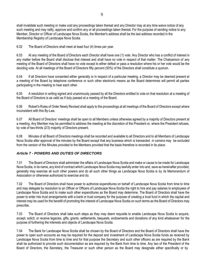shall invalidate such meeting or make void any proceedings taken thereat and any Director may at any time waive notice of any such meeting and may ratify, approve and confirm any or all proceedings taken thereat. For the purpose of sending notice to any Member, Director or Officer of Landscape Nova Scotia, the Member's address shall be the last address recorded in the Membership Registry of Landscape Nova Scotia.

6.02 The Board of Directors shall meet at least four (4) times per year.

6.03 At any meeting of the Board of Directors each Director shall have one (1) vote. Any Director who has a conflict of interest in any matter before the Board shall disclose that interest and shall have no vote in respect of that matter. The Chairperson of any meeting of the Board of Directors shall have no vote except to either defeat or pass a resolution where his or her vote would be the deciding vote. At all meetings of the Board of Directors fifty percent (50%) of the Directors shall constitute a quorum.

6.04 If all Directors have consented either generally or in respect of a particular meeting, a Director may be deemed present at a meeting of the Board by telephone conference or such other electronic means as the Board determines will permit all parties participating in the meeting to hear each other.

6.05 A resolution in writing signed and unanimously passed by all the Directors entitled to vote on that resolution at a meeting of the Board of Directors is as valid as if duly passed at a meeting of the Board.

6.06 Robert's Rules of Order Newly Revised shall apply to the proceedings at all meetings of the Board of Directors except where inconsistent with this By-Law.

6.07 All Board of Directors' meetings shall be open to all Members unless otherwise agreed by a majority of Directors present at a meeting. Any Member may be permitted to address the meeting at the discretion of the President or, where the President refuses, by vote of two-thirds (2/3) majority of Directors present.

6.08 Minutes of all Board of Directors meetings shall be recorded and available to all Directors and to all Members of Landscape Nova Scotia after approval of the minutes by the Board except that any business which is transacted *in camera* may be excluded from the version of the Minutes provided to the Members provided that the basis therefore is recorded in its place.

### <span id="page-8-0"></span>*Article 7 - POWERS AND DUTIES OF DIRECTORS*

7.01 The Board of Directors shall administer the affairs of Landscape Nova Scotia and make or cause to be made for Landscape Nova Scotia, in its name, any kind of contract which Landscape Nova Scotia may lawfully enter into and, save as hereinafter provided, generally may exercise all such other powers and do all such other things as Landscape Nova Scotia is by its Memorandum of Association or otherwise authorized to exercise and do.

7.02 The Board of Directors shall have power to authorize expenditures on behalf of Landscape Nova Scotia from time to time and may delegate by resolution to an Officer or Officers of Landscape Nova Scotia the right to hire and pay salaries to employees of Landscape Nova Scotia and to make such other expenditures as the Board may determine. The Board of Directors shall have the power to enter into trust arrangements with a bank or trust company for the purpose of creating a trust fund in which the capital and interest may be used for the benefit of promoting the interest of Landscape Nova Scotia on such terms as the Board of Directors may prescribe.

7.03 The Board of Directors shall take such steps as they may deem requisite to enable Landscape Nova Scotia to acquire, accept, solicit, or receive legacies, gifts, grants, settlements, bequests, endowments and donations of any kind whatsoever for the purpose of furthering the interests and objects of Landscape Nova Scotia.

7.04 The Bank for Landscape Nova Scotia shall be chosen by the Board of Directors and the Board of Directors shall have the power to open such accounts as may be required for the deposit and investment of Landscape Nova Scotia funds as received by Landscape Nova Scotia from time to time and for that purpose the Secretary and such other officers as are required by the Bank shall be authorized to provide such documentation as are required by the Bank from time to time. Any two of the President of the Board of Directors, the Secretary, the Treasurer or such other person as the Board may designate either specifically or by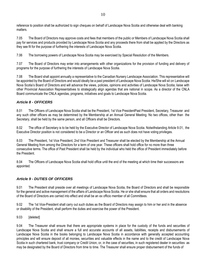reference to position shall be authorized to sign cheques on behalf of Landscape Nova Scotia and otherwise deal with banking matters.

7.05 The Board of Directors may approve costs and fees that members of the public or Members of Landscape Nova Scotia shall pay for services and products provided by Landscape Nova Scotia and any proceeds there from shall be applied by the Directors as they see fit for the purpose of furthering the interests of Landscape Nova Scotia.

7.06 The borrowing powers of Landscape Nova Scotia may be exercised by Special Resolution of the Members.

7.07 The Board of Directors may enter into arrangements with other organizations for the provision of funding and delivery of programs for the purpose of furthering the interests of Landscape Nova Scotia.

7.08 The Board shall appoint annually a representative to the Canadian Nursery Landscape Association. This representative will be appointed by the Board of Directors and would ideally be a past president of Landscape Nova Scotia. He/She will sit on Landscape Nova Scotia's Board of Directors and will advance the views, policies, opinions and activities of Landscape Nova Scotia; liaise with other Provincial Association Representatives to strategically align agendas that are national in scope. As a director of the CNLA Board communicate the CNLA agendas, programs, initiatives and goals to Landscape Nova Scotia.

## <span id="page-9-0"></span>*Article 8 - OFFICERS*

8.01 The Officers of Landscape Nova Scotia shall be the President, 1st Vice PresidentPast President, Secretary, Treasurer and any such other officers as may be determined by the Membership at an Annual General Meeting. No two offices, other than the Secretary, shall be held by the same person, and all Officers shall be Directors.

8.02 The office of Secretary is to be held by the Executive Director of Landscape Nova Scotia. Notwithstanding Article 9.01, the Executive Director position is not considered to be a Director or an Officer and as such does not have voting privileges.

8.03 The President, 1st Vice President, 2nd Vice President and Treasurer shall be elected by the Membership at the Annual General Meeting from among the Directors for a term of one year. These officers shall hold office for no more than three consecutive terms. The office of Past President shall be held by the individual who held the office of President immediately before the President.

8.04 The Officers of Landscape Nova Scotia shall hold office until the end of the meeting at which time their successors are appointed.

## <span id="page-9-1"></span>*Article 9 - DUTIES OF OFFICERS*

9.01 The President shall preside over all meetings of Landscape Nova Scotia, the Board of Directors and shall be responsible for the general and active management of the affairs of Landscape Nova Scotia. He or she shall ensure that all orders and resolutions of the Board of Directors are carried into effect and shall be an ex officio member of all Committees.

9.02 The 1st Vice-President shall carry out such duties as the Board of Directors may assign to him or her and in the absence or disability of the President, shall perform the duties and exercise the power of the President.

### 9.03 [deleted]

9.04 The Treasurer shall ensure that there are appropriate systems in place for the custody of the funds and securities of Landscape Nova Scotia and shall ensure a full and accurate accounts of all assets, liabilities, receipts and disbursements of Landscape Nova Scotia in the books belonging to Landscape Nova Scotia in accordance with generally accepted accounting principles and will ensure deposit of all monies, securities and valuable effects in the name and to the credit of Landscape Nova Scotia in such chartered bank, trust company or Credit Union, or, in the case of securities, in such registered dealer in securities as may be designated by the Board of Directors from time to time. The Treasurer shall ensure proper disbursement of the funds of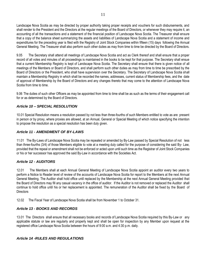Landscape Nova Scotia as may be directed by proper authority taking proper receipts and vouchers for such disbursements, and shall render to the President and the Directors at the regular meetings of the Board of Directors, or whenever they may require it, an accounting of all the transactions and a statement of the financial position of Landscape Nova Scotia. The Treasurer shall ensure that a copy of the balance sheet summarizing the assets and liabilities of Landscape Nova Scotia and a statement of income and expenditures for the preceding year is filed with the Registry of Joint Stock Companies within fifteen (15) days following the Annual General Meeting. The Treasurer shall also perform such other duties as may from time to time be directed by the Board of Directors.

9.05 The Secretary shall attend all meetings of Landscape Nova Scotia and act as Clerk thereof and shall ensure that a proper record of all votes and minutes of all proceedings is maintained in the books to be kept for that purpose. The Secretary shall ensue that a current Membership Registry is kept of Landscape Nova Scotia. The Secretary shall ensure that there is given notice of all meetings of the Members or Board of Directors, and shall perform such other duties as may from time to time be prescribed by the Board of Directors or the President, who shall have supervision over the Secretary. The Secretary of Landscape Nova Scotia shall maintain a Membership Registry in which shall be recorded the names, addresses, current status of Membership fees, and the date of approval of Membership by the Board of Directors and any changes thereto that may come to the attention of Landscape Nova Scotia from time to time.

9.06 The duties of such other Officers as may be appointed from time to time shall be as such as the terms of their engagement call for or as determined by the Board of Directors.

## <span id="page-10-0"></span>*Article 10 – SPECIAL RESOLUTION*

10.01 Special Resolution means a resolution passed by not less than three-fourths of such Members entitled to vote as are present in person or by proxy, where proxies are allowed, at an Annual, General or Special Meeting of which notice specifying the intention to propose the resolution as a special resolution has been duly given.

## <span id="page-10-1"></span>*Article 11 - AMENDMENT OF BY-LAWS*

11.01 The By-Laws of Landscape Nova Scotia may be repealed or amended by By-Law passed by Special Resolution of not less than three-fourths (3/4) of those Members eligible to vote at a meeting duly called for the purpose of considering the said By- Law, provided that the repeal or amendment shall not be enforced or acted upon until such time as the Registrar of Joint Stock Companies or his or her successor has approved the said By-Law in accordance with the Societies Act.

## <span id="page-10-2"></span>*Article 12 - AUDITORS*

12.01 The Members shall at each Annual General Meeting of Landscape Nova Scotia appoint an auditor every two years to perform a Notice to Reader level of review of the accounts of Landscape Nova Scotia for report to the Members at the next Annual General Meeting. The Auditor shall hold office until replaced by the Membership at the next Annual General Meeting provided that the Board of Directors may fill any casual vacancy in the office of auditor. If the Auditor is not removed or replaced the Auditor shall continue to hold office until his or her replacement is appointed. The remuneration of the Auditor shall be fixed by the Board of **Directors** 

12.02 The Fiscal Year of Landscape Nova Scotia shall be from November 1 to October 31.

## <span id="page-10-3"></span>*Article 13 - BOOKS AND RECORDS*

13.01 The Directors shall ensure that all necessary books and records of Landscape Nova Scotia required by this By-Law or any applicable statute or law are regularly and properly kept and shall be open for inspection by any Member upon request at the registered office Landscape Nova Scotia between the hours of 9:00 a.m. and 4:30 p.m. daily.

## <span id="page-10-4"></span>*Article 14 -RULES AND REGULATIONS*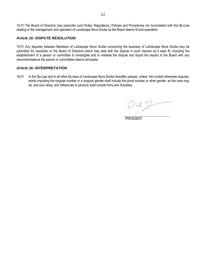14.01 The Board of Directors may prescribe such Rules, Regulations, Policies and Procedures not inconsistent with this By-Law relating to the management and operation of Landscape Nova Scotia as the Board deems fit and expedient.

#### <span id="page-11-0"></span>*Article 15- DISPUTE RESOLUTION*

15.01 Any disputes between Members of Landscape Nova Scotia concerning the business of Landscape Nova Scotia may be submitted for resolution to the Board of Directors which may deal with the dispute in such manner as it sees fit, including the establishment of a person or committee to investigate and or mediate the dispute and report the results to the Board with any recommendations the person or committees deems advisable.

#### <span id="page-11-1"></span>*Article 16 -INTERPRETATION*

16.01 In this By-Law and in all other By-laws of Landscape Nova Scotia hereafter passed, unless the context otherwise requires, words importing the singular number or a singular gender shall include the plural number or other gender, as the case may be, and vice versa, and references to persons shall include firms and Societies.

 $ml$ 

PRESIDENT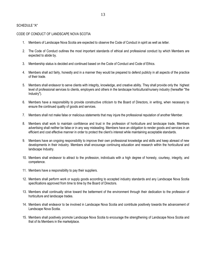### SCHEDULE "A"

#### <span id="page-12-0"></span>CODE OF CONDUCT OF LANDSCAPE NOVA SCOTIA

- 1. Members of Landscape Nova Scotia are expected to observe the Code of Conduct in spirit as well as letter.
- 2. The Code of Conduct outlines the most important standards of ethical and professional conduct by which Members are expected to abide by.
- 3. Membership status is decided and continued based on the Code of Conduct and Code of Ethics.
- 4. Members shall act fairly, honestly and in a manner they would be prepared to defend publicly in all aspects of the practice of their trade.
- 5. Members shall endeavor to serve clients with integrity, knowledge, and creative ability. They shall provide only the highest level of professional services to clients, employers and others in the landscape horticultural/nursery industry (hereafter "the Industry").
- 6. Members have a responsibility to provide constructive criticism to the Board of Directors, in writing, when necessary to ensure the continued quality of goods and services.
- 7. Members shall not make false or malicious statements that may injure the professional reputation of another Member.
- 8. Members shall work to maintain confidence and trust in the profession of horticulture and landscape trade, Members advertising shall neither be false or in any way misleading. Members have an obligation to render goods and services in an efficient and cost effective manner in order to protect the client's interest while maintaining acceptable standards.
- 9. Members have an ongoing responsibility to improve their own professional knowledge and skills and keep abreast of new developments in their industry. Members shall encourage continuing education and research within the horticultural and landscape Industry.
- 10. Members shall endeavor to attract to the profession, individuals with a high degree of honesty, courtesy, integrity, and competence.
- 11. Members have a responsibility to pay their suppliers.
- 12. Members shall perform work or supply goods according to accepted industry standards and any Landscape Nova Scotia specifications approved from time to time by the Board of Directors.
- 13. Members shall continually strive toward the betterment of the environment through their dedication to the profession of horticulture and landscape trades.
- 14. Members shall endeavor to be involved in Landscape Nova Scotia and contribute positively towards the advancement of Landscape Nova Scotia.
- 15. Members shall positively promote Landscape Nova Scotia to encourage the strengthening of Landscape Nova Scotia and that of its Members in the marketplace.